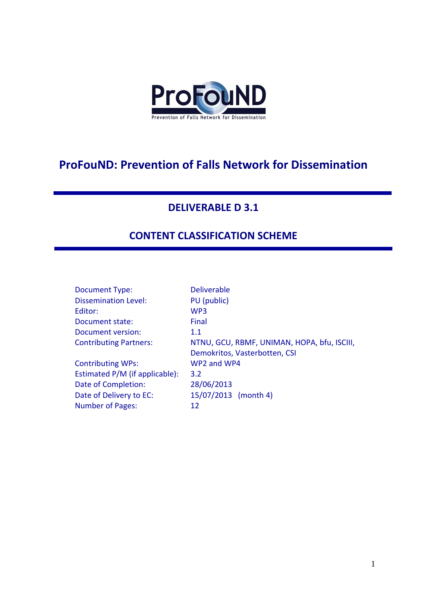

# **ProFouND: Prevention of Falls Network for Dissemination**

## **DELIVERABLE D 3.1**

# **CONTENT CLASSIFICATION SCHEME**

| <b>Document Type:</b>          | <b>Deliverable</b>                          |
|--------------------------------|---------------------------------------------|
| <b>Dissemination Level:</b>    | PU (public)                                 |
| Editor:                        | WP <sub>3</sub>                             |
| Document state:                | Final                                       |
| Document version:              | 1.1                                         |
| <b>Contributing Partners:</b>  | NTNU, GCU, RBMF, UNIMAN, HOPA, bfu, ISCIII, |
|                                | Demokritos, Vasterbotten, CSI               |
| <b>Contributing WPs:</b>       | WP2 and WP4                                 |
| Estimated P/M (if applicable): | 3.2                                         |
| Date of Completion:            | 28/06/2013                                  |
| Date of Delivery to EC:        | 15/07/2013 (month 4)                        |
| <b>Number of Pages:</b>        | 12                                          |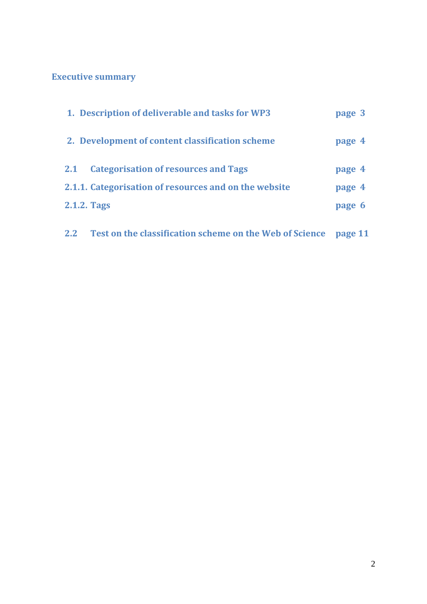# **Executive summary**

| 1. Description of deliverable and tasks for WP3           | page 3 |
|-----------------------------------------------------------|--------|
| 2. Development of content classification scheme           | page 4 |
| <b>Categorisation of resources and Tags</b><br><b>2.1</b> | page 4 |
| 2.1.1. Categorisation of resources and on the website     | page 4 |
| 2.1.2. Tags                                               | page 6 |

**2.2 Test on the classification scheme on the Web of Science page 11**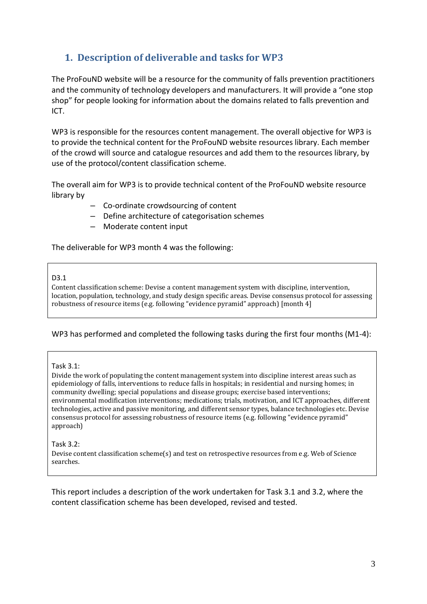# **1. Description of deliverable and tasks for WP3**

The ProFouND website will be a resource for the community of falls prevention practitioners and the community of technology developers and manufacturers. It will provide a "one stop shop" for people looking for information about the domains related to falls prevention and ICT.

WP3 is responsible for the resources content management. The overall objective for WP3 is to provide the technical content for the ProFouND website resources library. Each member of the crowd will source and catalogue resources and add them to the resources library, by use of the protocol/content classification scheme.

The overall aim for WP3 is to provide technical content of the ProFouND website resource library by

- Co-ordinate crowdsourcing of content
- Define architecture of categorisation schemes
- Moderate content input

The deliverable for WP3 month 4 was the following:

#### D3.1

Content classification scheme: Devise a content management system with discipline, intervention, location, population, technology, and study design specific areas. Devise consensus protocol for assessing robustness of resource items (e.g. following "evidence pyramid" approach) [month 4]

#### WP3 has performed and completed the following tasks during the first four months (M1-4):

#### Task 3.1:

Divide the work of populating the content management system into discipline interest areas such as epidemiology of falls, interventions to reduce falls in hospitals; in residential and nursing homes; in community dwelling; special populations and disease groups; exercise based interventions; environmental modification interventions; medications; trials, motivation, and ICT approaches, different technologies, active and passive monitoring, and different sensor types, balance technologies etc. Devise consensus protocol for assessing robustness of resource items (e.g. following "evidence pyramid" approach)

#### Task 3.2:

Devise content classification scheme(s) and test on retrospective resources from e.g. Web of Science searches.

This report includes a description of the work undertaken for Task 3.1 and 3.2, where the content classification scheme has been developed, revised and tested.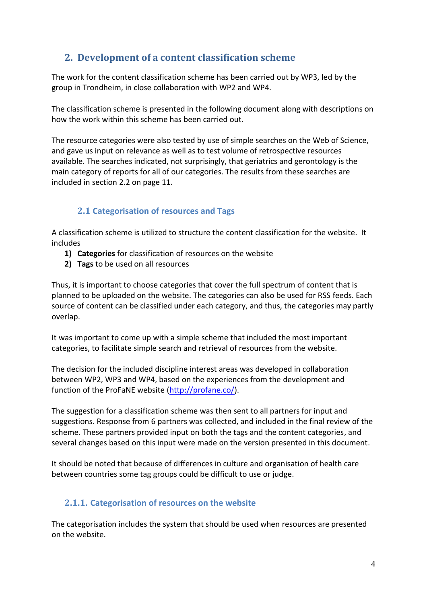# **2. Development of a content classification scheme**

The work for the content classification scheme has been carried out by WP3, led by the group in Trondheim, in close collaboration with WP2 and WP4.

The classification scheme is presented in the following document along with descriptions on how the work within this scheme has been carried out.

The resource categories were also tested by use of simple searches on the Web of Science, and gave us input on relevance as well as to test volume of retrospective resources available. The searches indicated, not surprisingly, that geriatrics and gerontology is the main category of reports for all of our categories. The results from these searches are included in section 2.2 on page 11.

## **2.1 Categorisation of resources and Tags**

A classification scheme is utilized to structure the content classification for the website. It includes

- **1) Categories** for classification of resources on the website
- **2) Tags** to be used on all resources

Thus, it is important to choose categories that cover the full spectrum of content that is planned to be uploaded on the website. The categories can also be used for RSS feeds. Each source of content can be classified under each category, and thus, the categories may partly overlap.

It was important to come up with a simple scheme that included the most important categories, to facilitate simple search and retrieval of resources from the website.

The decision for the included discipline interest areas was developed in collaboration between WP2, WP3 and WP4, based on the experiences from the development and function of the ProFaNE website [\(http://profane.co/\)](http://profane.co/).

The suggestion for a classification scheme was then sent to all partners for input and suggestions. Response from 6 partners was collected, and included in the final review of the scheme. These partners provided input on both the tags and the content categories, and several changes based on this input were made on the version presented in this document.

It should be noted that because of differences in culture and organisation of health care between countries some tag groups could be difficult to use or judge.

## **2.1.1. Categorisation of resources on the website**

The categorisation includes the system that should be used when resources are presented on the website.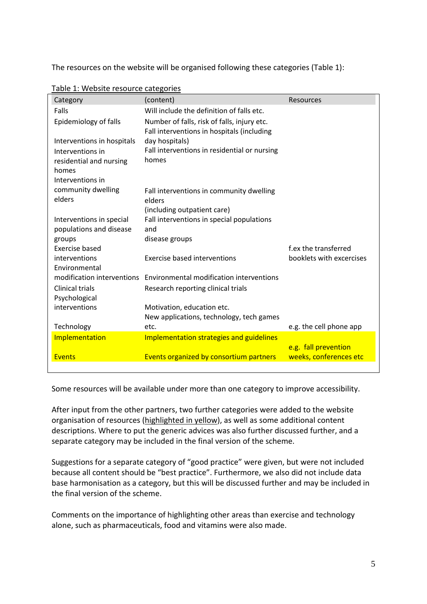The resources on the website will be organised following these categories (Table 1):

| Category                   | (content)                                                                                 | Resources                |
|----------------------------|-------------------------------------------------------------------------------------------|--------------------------|
| Falls                      | Will include the definition of falls etc.                                                 |                          |
| Epidemiology of falls      | Number of falls, risk of falls, injury etc.<br>Fall interventions in hospitals (including |                          |
| Interventions in hospitals | day hospitals)                                                                            |                          |
| Interventions in           | Fall interventions in residential or nursing                                              |                          |
| residential and nursing    | homes                                                                                     |                          |
| homes                      |                                                                                           |                          |
| Interventions in           |                                                                                           |                          |
| community dwelling         | Fall interventions in community dwelling                                                  |                          |
| elders                     | elders                                                                                    |                          |
|                            | (including outpatient care)                                                               |                          |
| Interventions in special   | Fall interventions in special populations                                                 |                          |
| populations and disease    | and                                                                                       |                          |
| groups                     | disease groups                                                                            |                          |
| Exercise based             |                                                                                           | f.ex the transferred     |
| interventions              | <b>Exercise based interventions</b>                                                       | booklets with excercises |
| Environmental              |                                                                                           |                          |
| modification interventions | Environmental modification interventions                                                  |                          |
| <b>Clinical trials</b>     | Research reporting clinical trials                                                        |                          |
| Psychological              |                                                                                           |                          |
| interventions              | Motivation, education etc.                                                                |                          |
|                            | New applications, technology, tech games                                                  |                          |
| Technology                 | etc.                                                                                      | e.g. the cell phone app  |
| Implementation             | Implementation strategies and guidelines                                                  |                          |
|                            |                                                                                           | e.g. fall prevention     |
| <b>Events</b>              | Events organized by consortium partners                                                   | weeks, conferences etc   |

Table 1: Website resource categories

Some resources will be available under more than one category to improve accessibility.

After input from the other partners, two further categories were added to the website organisation of resources (highlighted in yellow), as well as some additional content descriptions. Where to put the generic advices was also further discussed further, and a separate category may be included in the final version of the scheme.

Suggestions for a separate category of "good practice" were given, but were not included because all content should be "best practice". Furthermore, we also did not include data base harmonisation as a category, but this will be discussed further and may be included in the final version of the scheme.

Comments on the importance of highlighting other areas than exercise and technology alone, such as pharmaceuticals, food and vitamins were also made.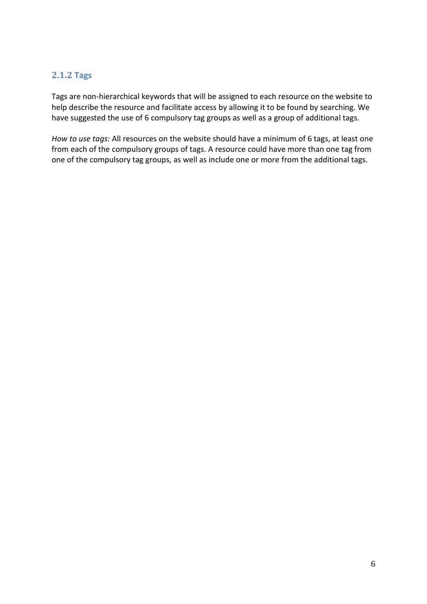### **2.1.2 Tags**

Tags are non-hierarchical keywords that will be assigned to each resource on the website to help describe the resource and facilitate access by allowing it to be found by searching. We have suggested the use of 6 compulsory tag groups as well as a group of additional tags.

*How to use tags:* All resources on the website should have a minimum of 6 tags, at least one from each of the compulsory groups of tags. A resource could have more than one tag from one of the compulsory tag groups, as well as include one or more from the additional tags.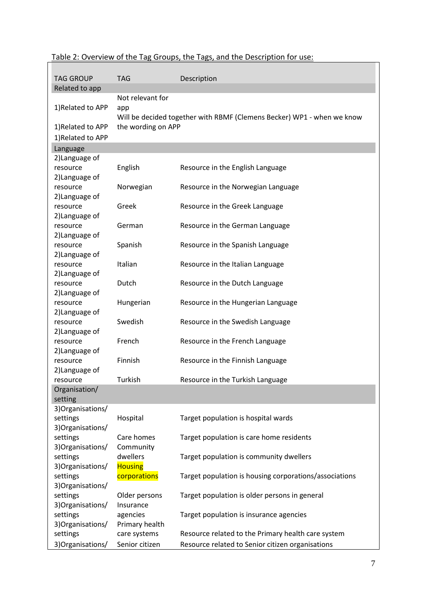| <b>TAG GROUP</b>              | <b>TAG</b>            | Description                                                            |
|-------------------------------|-----------------------|------------------------------------------------------------------------|
| Related to app                |                       |                                                                        |
|                               | Not relevant for      |                                                                        |
| 1)Related to APP              |                       |                                                                        |
|                               | app                   | Will be decided together with RBMF (Clemens Becker) WP1 - when we know |
| 1) Related to APP             | the wording on APP    |                                                                        |
| 1)Related to APP              |                       |                                                                        |
|                               |                       |                                                                        |
| Language                      |                       |                                                                        |
| 2) Language of<br>resource    |                       |                                                                        |
| 2) Language of                | English               | Resource in the English Language                                       |
| resource                      | Norwegian             | Resource in the Norwegian Language                                     |
| 2) Language of                |                       |                                                                        |
| resource                      | Greek                 | Resource in the Greek Language                                         |
| 2) Language of                |                       |                                                                        |
| resource                      | German                | Resource in the German Language                                        |
| 2) Language of                |                       |                                                                        |
| resource                      | Spanish               | Resource in the Spanish Language                                       |
| 2) Language of                |                       |                                                                        |
| resource                      | Italian               | Resource in the Italian Language                                       |
| 2) Language of                |                       |                                                                        |
| resource                      | Dutch                 | Resource in the Dutch Language                                         |
| 2) Language of                |                       |                                                                        |
| resource                      | Hungerian             | Resource in the Hungerian Language                                     |
| 2) Language of                |                       |                                                                        |
| resource                      | Swedish               | Resource in the Swedish Language                                       |
| 2) Language of                |                       |                                                                        |
| resource                      | French                | Resource in the French Language                                        |
| 2) Language of                |                       |                                                                        |
| resource                      | Finnish               | Resource in the Finnish Language                                       |
| 2) Language of                |                       |                                                                        |
| resource                      | Turkish               | Resource in the Turkish Language                                       |
| Organisation/                 |                       |                                                                        |
| setting                       |                       |                                                                        |
| 3) Organisations/             |                       |                                                                        |
| settings                      | Hospital              | Target population is hospital wards                                    |
| 3) Organisations/             |                       |                                                                        |
| settings                      | Care homes            | Target population is care home residents                               |
| 3) Organisations/             | Community<br>dwellers |                                                                        |
| settings<br>3) Organisations/ | <b>Housing</b>        | Target population is community dwellers                                |
| settings                      | corporations          | Target population is housing corporations/associations                 |
| 3) Organisations/             |                       |                                                                        |
| settings                      | Older persons         | Target population is older persons in general                          |
| 3) Organisations/             | Insurance             |                                                                        |
| settings                      | agencies              | Target population is insurance agencies                                |
| 3) Organisations/             | Primary health        |                                                                        |
| settings                      | care systems          | Resource related to the Primary health care system                     |
| 3) Organisations/             | Senior citizen        | Resource related to Senior citizen organisations                       |

## Table 2: Overview of the Tag Groups, the Tags, and the Description for use: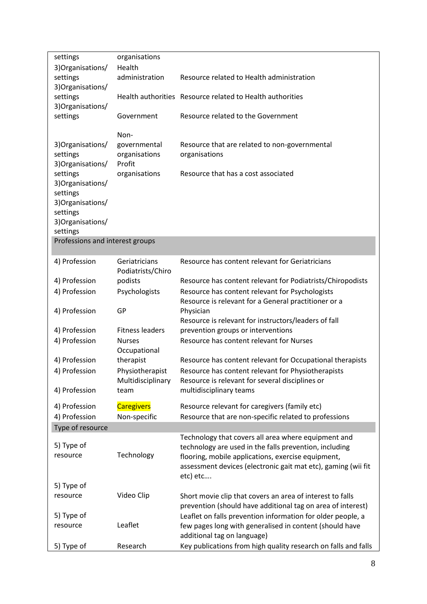| settings                        | organisations                      |                                                                                                                          |
|---------------------------------|------------------------------------|--------------------------------------------------------------------------------------------------------------------------|
| 3) Organisations/               | Health                             |                                                                                                                          |
| settings                        | administration                     | Resource related to Health administration                                                                                |
| 3) Organisations/               |                                    |                                                                                                                          |
| settings                        |                                    | Health authorities Resource related to Health authorities                                                                |
| 3) Organisations/               |                                    |                                                                                                                          |
| settings                        | Government                         | Resource related to the Government                                                                                       |
|                                 | Non-                               |                                                                                                                          |
| 3) Organisations/               | governmental                       | Resource that are related to non-governmental                                                                            |
| settings                        | organisations                      | organisations                                                                                                            |
| 3) Organisations/               | Profit                             |                                                                                                                          |
| settings                        | organisations                      | Resource that has a cost associated                                                                                      |
| 3) Organisations/               |                                    |                                                                                                                          |
| settings                        |                                    |                                                                                                                          |
| 3) Organisations/               |                                    |                                                                                                                          |
| settings<br>3) Organisations/   |                                    |                                                                                                                          |
| settings                        |                                    |                                                                                                                          |
| Professions and interest groups |                                    |                                                                                                                          |
|                                 |                                    |                                                                                                                          |
| 4) Profession                   | Geriatricians<br>Podiatrists/Chiro | Resource has content relevant for Geriatricians                                                                          |
| 4) Profession                   | podists                            | Resource has content relevant for Podiatrists/Chiropodists                                                               |
| 4) Profession                   | Psychologists                      | Resource has content relevant for Psychologists                                                                          |
|                                 |                                    | Resource is relevant for a General practitioner or a                                                                     |
| 4) Profession                   | GP                                 | Physician                                                                                                                |
|                                 |                                    | Resource is relevant for instructors/leaders of fall                                                                     |
| 4) Profession                   | <b>Fitness leaders</b>             | prevention groups or interventions                                                                                       |
| 4) Profession                   | <b>Nurses</b><br>Occupational      | Resource has content relevant for Nurses                                                                                 |
| 4) Profession                   | therapist                          | Resource has content relevant for Occupational therapists                                                                |
| 4) Profession                   | Physiotherapist                    | Resource has content relevant for Physiotherapists                                                                       |
|                                 | Multidisciplinary                  | Resource is relevant for several disciplines or                                                                          |
| 4) Profession                   | team                               | multidisciplinary teams                                                                                                  |
| 4) Profession                   | <b>Caregivers</b>                  | Resource relevant for caregivers (family etc)                                                                            |
| 4) Profession                   | Non-specific                       | Resource that are non-specific related to professions                                                                    |
| Type of resource                |                                    |                                                                                                                          |
|                                 |                                    | Technology that covers all area where equipment and                                                                      |
| 5) Type of                      |                                    | technology are used in the falls prevention, including                                                                   |
| resource                        | Technology                         | flooring, mobile applications, exercise equipment,                                                                       |
|                                 |                                    | assessment devices (electronic gait mat etc), gaming (wii fit                                                            |
|                                 |                                    | etc) etc                                                                                                                 |
| 5) Type of                      |                                    |                                                                                                                          |
| resource                        | Video Clip                         | Short movie clip that covers an area of interest to falls<br>prevention (should have additional tag on area of interest) |
| 5) Type of                      |                                    | Leaflet on falls prevention information for older people, a                                                              |
| resource                        | Leaflet                            | few pages long with generalised in content (should have                                                                  |
|                                 |                                    | additional tag on language)                                                                                              |
| 5) Type of                      | Research                           | Key publications from high quality research on falls and falls                                                           |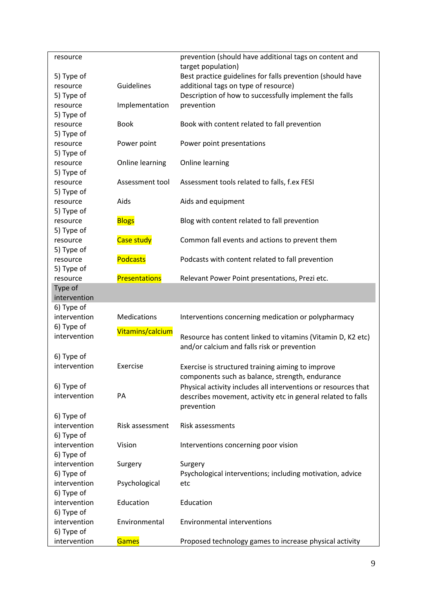| resource     |                      | prevention (should have additional tags on content and         |
|--------------|----------------------|----------------------------------------------------------------|
|              |                      | target population)                                             |
| 5) Type of   |                      | Best practice guidelines for falls prevention (should have     |
| resource     | Guidelines           | additional tags on type of resource)                           |
| 5) Type of   |                      | Description of how to successfully implement the falls         |
| resource     | Implementation       | prevention                                                     |
| 5) Type of   |                      |                                                                |
| resource     | <b>Book</b>          | Book with content related to fall prevention                   |
| 5) Type of   |                      |                                                                |
| resource     | Power point          | Power point presentations                                      |
| 5) Type of   |                      |                                                                |
| resource     | Online learning      | Online learning                                                |
| 5) Type of   |                      |                                                                |
| resource     | Assessment tool      | Assessment tools related to falls, f.ex FESI                   |
| 5) Type of   |                      |                                                                |
| resource     | Aids                 | Aids and equipment                                             |
| 5) Type of   |                      |                                                                |
| resource     | <b>Blogs</b>         | Blog with content related to fall prevention                   |
| 5) Type of   |                      |                                                                |
| resource     | <b>Case study</b>    | Common fall events and actions to prevent them                 |
| 5) Type of   |                      |                                                                |
| resource     | <b>Podcasts</b>      | Podcasts with content related to fall prevention               |
| 5) Type of   |                      |                                                                |
| resource     | <b>Presentations</b> | Relevant Power Point presentations, Prezi etc.                 |
| Type of      |                      |                                                                |
| intervention |                      |                                                                |
| 6) Type of   |                      |                                                                |
| intervention | <b>Medications</b>   | Interventions concerning medication or polypharmacy            |
| 6) Type of   |                      |                                                                |
| intervention | Vitamins/calcium     |                                                                |
|              |                      | Resource has content linked to vitamins (Vitamin D, K2 etc)    |
|              |                      | and/or calcium and falls risk or prevention                    |
| 6) Type of   |                      |                                                                |
| intervention | Exercise             | Exercise is structured training aiming to improve              |
|              |                      | components such as balance, strength, endurance                |
| 6) Type of   |                      | Physical activity includes all interventions or resources that |
| intervention | PA                   | describes movement, activity etc in general related to falls   |
|              |                      | prevention                                                     |
| 6) Type of   |                      |                                                                |
| intervention | Risk assessment      | Risk assessments                                               |
| 6) Type of   |                      |                                                                |
| intervention | Vision               | Interventions concerning poor vision                           |
| 6) Type of   |                      |                                                                |
| intervention | Surgery              | Surgery                                                        |
| 6) Type of   |                      | Psychological interventions; including motivation, advice      |
| intervention | Psychological        | etc                                                            |
| 6) Type of   |                      |                                                                |
| intervention | Education            | Education                                                      |
| 6) Type of   |                      |                                                                |
| intervention | Environmental        | <b>Environmental interventions</b>                             |
| 6) Type of   |                      |                                                                |
| intervention | <b>Games</b>         | Proposed technology games to increase physical activity        |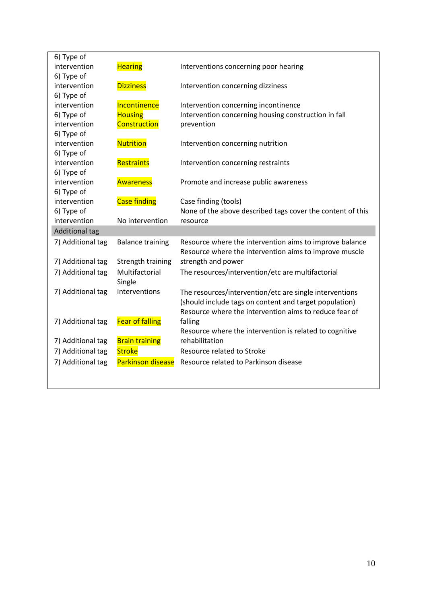| 6) Type of            |                          |                                                            |
|-----------------------|--------------------------|------------------------------------------------------------|
| intervention          | <b>Hearing</b>           | Interventions concerning poor hearing                      |
| 6) Type of            |                          |                                                            |
| intervention          | <b>Dizziness</b>         | Intervention concerning dizziness                          |
| 6) Type of            |                          |                                                            |
| intervention          | Incontinence             | Intervention concerning incontinence                       |
| 6) Type of            | <b>Housing</b>           | Intervention concerning housing construction in fall       |
| intervention          | Construction             | prevention                                                 |
| 6) Type of            |                          |                                                            |
| intervention          | <b>Nutrition</b>         | Intervention concerning nutrition                          |
| 6) Type of            |                          |                                                            |
| intervention          | Restraints               | Intervention concerning restraints                         |
| 6) Type of            |                          |                                                            |
| intervention          | <b>Awareness</b>         | Promote and increase public awareness                      |
| 6) Type of            |                          |                                                            |
| intervention          | <b>Case finding</b>      | Case finding (tools)                                       |
| 6) Type of            |                          | None of the above described tags cover the content of this |
|                       |                          |                                                            |
| intervention          | No intervention          | resource                                                   |
| <b>Additional tag</b> |                          |                                                            |
| 7) Additional tag     | <b>Balance training</b>  | Resource where the intervention aims to improve balance    |
|                       |                          | Resource where the intervention aims to improve muscle     |
| 7) Additional tag     | Strength training        | strength and power                                         |
| 7) Additional tag     | Multifactorial           | The resources/intervention/etc are multifactorial          |
|                       | Single                   |                                                            |
| 7) Additional tag     | interventions            | The resources/intervention/etc are single interventions    |
|                       |                          | (should include tags on content and target population)     |
|                       |                          | Resource where the intervention aims to reduce fear of     |
| 7) Additional tag     | <b>Fear of falling</b>   | falling                                                    |
|                       |                          | Resource where the intervention is related to cognitive    |
| 7) Additional tag     | <b>Brain training</b>    | rehabilitation                                             |
| 7) Additional tag     | <b>Stroke</b>            | Resource related to Stroke                                 |
| 7) Additional tag     | <b>Parkinson disease</b> | Resource related to Parkinson disease                      |
|                       |                          |                                                            |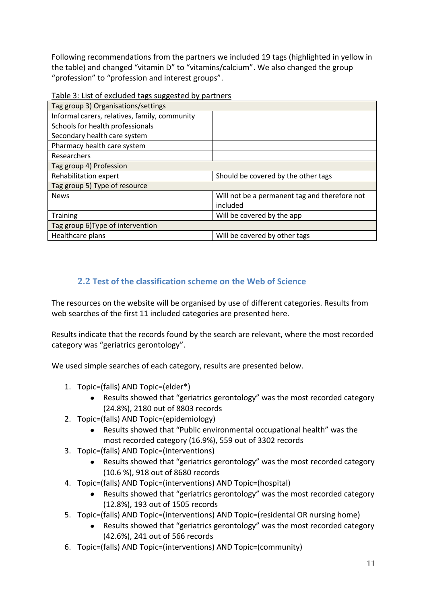Following recommendations from the partners we included 19 tags (highlighted in yellow in the table) and changed "vitamin D" to "vitamins/calcium". We also changed the group "profession" to "profession and interest groups".

| Table 5. List of excluded tags suggested by partificis |                                               |
|--------------------------------------------------------|-----------------------------------------------|
| Tag group 3) Organisations/settings                    |                                               |
| Informal carers, relatives, family, community          |                                               |
| Schools for health professionals                       |                                               |
| Secondary health care system                           |                                               |
| Pharmacy health care system                            |                                               |
| Researchers                                            |                                               |
| Tag group 4) Profession                                |                                               |
| Rehabilitation expert                                  | Should be covered by the other tags           |
| Tag group 5) Type of resource                          |                                               |
| <b>News</b>                                            | Will not be a permanent tag and therefore not |
|                                                        | included                                      |
| <b>Training</b>                                        | Will be covered by the app                    |
| Tag group 6) Type of intervention                      |                                               |
| Healthcare plans                                       | Will be covered by other tags                 |
|                                                        |                                               |

Table 3: List of excluded tags suggested by partners

### **2.2 Test of the classification scheme on the Web of Science**

The resources on the website will be organised by use of different categories. Results from web searches of the first 11 included categories are presented here.

Results indicate that the records found by the search are relevant, where the most recorded category was "geriatrics gerontology".

We used simple searches of each category, results are presented below.

- 1. Topic=(falls) AND Topic=(elder\*)
	- Results showed that "geriatrics gerontology" was the most recorded category (24.8%), 2180 out of 8803 records
- 2. Topic=(falls) AND Topic=(epidemiology)
	- Results showed that "Public environmental occupational health" was the most recorded category (16.9%), 559 out of 3302 records
- 3. Topic=(falls) AND Topic=(interventions)
	- Results showed that "geriatrics gerontology" was the most recorded category (10.6 %), 918 out of 8680 records
- 4. Topic=(falls) AND Topic=(interventions) AND Topic=(hospital)
	- Results showed that "geriatrics gerontology" was the most recorded category (12.8%), 193 out of 1505 records
- 5. Topic=(falls) AND Topic=(interventions) AND Topic=(residental OR nursing home)
	- Results showed that "geriatrics gerontology" was the most recorded category (42.6%), 241 out of 566 records
- 6. Topic=(falls) AND Topic=(interventions) AND Topic=(community)